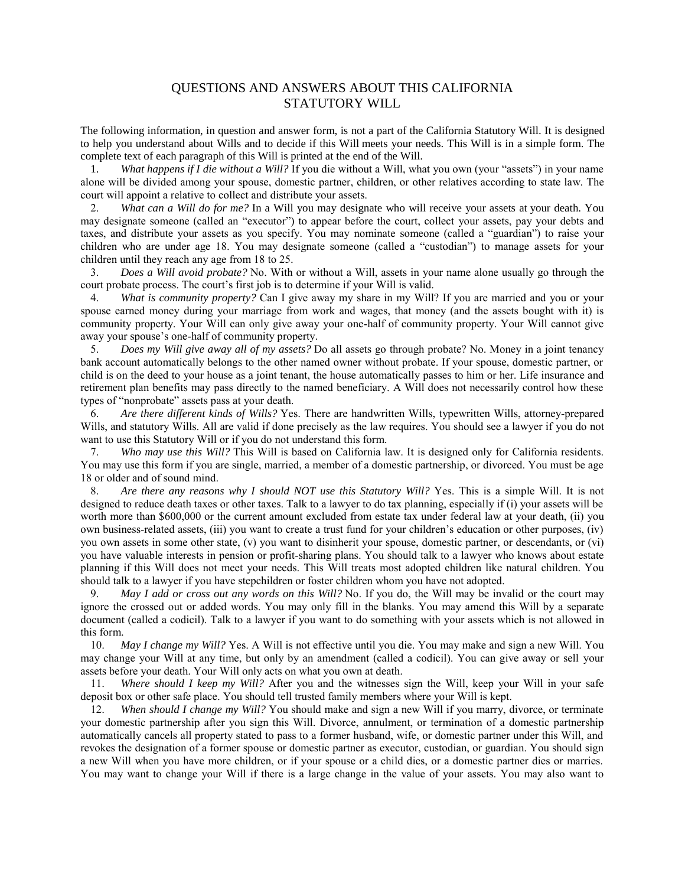## QUESTIONS AND ANSWERS ABOUT THIS CALIFORNIA STATUTORY WILL

The following information, in question and answer form, is not a part of the California Statutory Will. It is designed to help you understand about Wills and to decide if this Will meets your needs. This Will is in a simple form. The complete text of each paragraph of this Will is printed at the end of the Will.

1. *What happens if I die without a Will?* If you die without a Will, what you own (your "assets") in your name alone will be divided among your spouse, domestic partner, children, or other relatives according to state law. The court will appoint a relative to collect and distribute your assets.

2. *What can a Will do for me?* In a Will you may designate who will receive your assets at your death. You may designate someone (called an "executor") to appear before the court, collect your assets, pay your debts and taxes, and distribute your assets as you specify. You may nominate someone (called a "guardian") to raise your children who are under age 18. You may designate someone (called a "custodian") to manage assets for your children until they reach any age from 18 to 25.

3. *Does a Will avoid probate?* No. With or without a Will, assets in your name alone usually go through the court probate process. The court's first job is to determine if your Will is valid.

4. *What is community property?* Can I give away my share in my Will? If you are married and you or your spouse earned money during your marriage from work and wages, that money (and the assets bought with it) is community property. Your Will can only give away your one-half of community property. Your Will cannot give away your spouse's one-half of community property.

5. *Does my Will give away all of my assets?* Do all assets go through probate? No. Money in a joint tenancy bank account automatically belongs to the other named owner without probate. If your spouse, domestic partner, or child is on the deed to your house as a joint tenant, the house automatically passes to him or her. Life insurance and retirement plan benefits may pass directly to the named beneficiary. A Will does not necessarily control how these types of "nonprobate" assets pass at your death.

6. *Are there different kinds of Wills?* Yes. There are handwritten Wills, typewritten Wills, attorney-prepared Wills, and statutory Wills. All are valid if done precisely as the law requires. You should see a lawyer if you do not want to use this Statutory Will or if you do not understand this form.

7. *Who may use this Will?* This Will is based on California law. It is designed only for California residents. You may use this form if you are single, married, a member of a domestic partnership, or divorced. You must be age 18 or older and of sound mind.

8. *Are there any reasons why I should NOT use this Statutory Will?* Yes. This is a simple Will. It is not designed to reduce death taxes or other taxes. Talk to a lawyer to do tax planning, especially if (i) your assets will be worth more than \$600,000 or the current amount excluded from estate tax under federal law at your death, (ii) you own business-related assets, (iii) you want to create a trust fund for your children's education or other purposes, (iv) you own assets in some other state, (v) you want to disinherit your spouse, domestic partner, or descendants, or (vi) you have valuable interests in pension or profit-sharing plans. You should talk to a lawyer who knows about estate planning if this Will does not meet your needs. This Will treats most adopted children like natural children. You should talk to a lawyer if you have stepchildren or foster children whom you have not adopted.

9. *May I add or cross out any words on this Will?* No. If you do, the Will may be invalid or the court may ignore the crossed out or added words. You may only fill in the blanks. You may amend this Will by a separate document (called a codicil). Talk to a lawyer if you want to do something with your assets which is not allowed in this form.<br> $\frac{10}{10}$ 

May I change my Will? Yes. A Will is not effective until you die. You may make and sign a new Will. You may change your Will at any time, but only by an amendment (called a codicil). You can give away or sell your assets before your death. Your Will only acts on what you own at death.

11. *Where should I keep my Will?* After you and the witnesses sign the Will, keep your Will in your safe deposit box or other safe place. You should tell trusted family members where your Will is kept.

12. *When should I change my Will?* You should make and sign a new Will if you marry, divorce, or terminate your domestic partnership after you sign this Will. Divorce, annulment, or termination of a domestic partnership automatically cancels all property stated to pass to a former husband, wife, or domestic partner under this Will, and revokes the designation of a former spouse or domestic partner as executor, custodian, or guardian. You should sign a new Will when you have more children, or if your spouse or a child dies, or a domestic partner dies or marries. You may want to change your Will if there is a large change in the value of your assets. You may also want to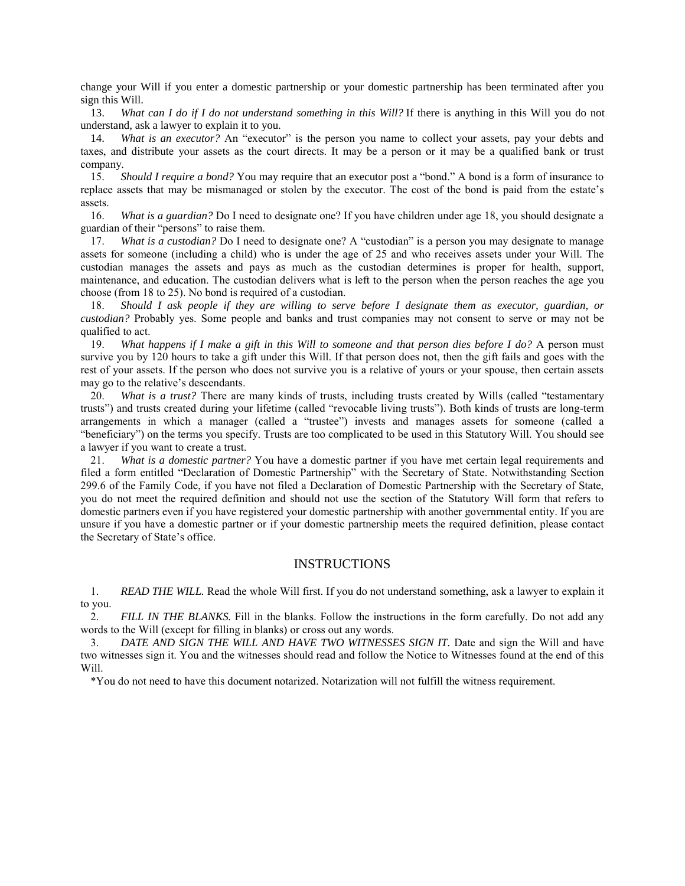change your Will if you enter a domestic partnership or your domestic partnership has been terminated after you sign this Will.

13. *What can I do if I do not understand something in this Will?* If there is anything in this Will you do not understand, ask a lawyer to explain it to you.

14. *What is an executor?* An "executor" is the person you name to collect your assets, pay your debts and taxes, and distribute your assets as the court directs. It may be a person or it may be a qualified bank or trust company.

15. *Should I require a bond?* You may require that an executor post a "bond." A bond is a form of insurance to replace assets that may be mismanaged or stolen by the executor. The cost of the bond is paid from the estate's assets.

16. *What is a guardian?* Do I need to designate one? If you have children under age 18, you should designate a guardian of their "persons" to raise them.

17. *What is a custodian?* Do I need to designate one? A "custodian" is a person you may designate to manage assets for someone (including a child) who is under the age of 25 and who receives assets under your Will. The custodian manages the assets and pays as much as the custodian determines is proper for health, support, maintenance, and education. The custodian delivers what is left to the person when the person reaches the age you choose (from 18 to 25). No bond is required of a custodian.

18. *Should I ask people if they are willing to serve before I designate them as executor, guardian, or custodian?* Probably yes. Some people and banks and trust companies may not consent to serve or may not be qualified to act.

19. *What happens if I make a gift in this Will to someone and that person dies before I do?* A person must survive you by 120 hours to take a gift under this Will. If that person does not, then the gift fails and goes with the rest of your assets. If the person who does not survive you is a relative of yours or your spouse, then certain assets may go to the relative's descendants.

20. *What is a trust?* There are many kinds of trusts, including trusts created by Wills (called "testamentary trusts") and trusts created during your lifetime (called "revocable living trusts"). Both kinds of trusts are long-term arrangements in which a manager (called a "trustee") invests and manages assets for someone (called a "beneficiary") on the terms you specify. Trusts are too complicated to be used in this Statutory Will. You should see a lawyer if you want to create a trust.

21. *What is a domestic partner?* You have a domestic partner if you have met certain legal requirements and filed a form entitled "Declaration of Domestic Partnership" with the Secretary of State. Notwithstanding Section 299.6 of the Family Code, if you have not filed a Declaration of Domestic Partnership with the Secretary of State, you do not meet the required definition and should not use the section of the Statutory Will form that refers to domestic partners even if you have registered your domestic partnership with another governmental entity. If you are unsure if you have a domestic partner or if your domestic partnership meets the required definition, please contact the Secretary of State's office.

## INSTRUCTIONS

1. *READ THE WILL.* Read the whole Will first. If you do not understand something, ask a lawyer to explain it to you.

2. *FILL IN THE BLANKS.* Fill in the blanks. Follow the instructions in the form carefully. Do not add any words to the Will (except for filling in blanks) or cross out any words.

3. *DATE AND SIGN THE WILL AND HAVE TWO WITNESSES SIGN IT.* Date and sign the Will and have two witnesses sign it. You and the witnesses should read and follow the Notice to Witnesses found at the end of this Will.

\*You do not need to have this document notarized. Notarization will not fulfill the witness requirement.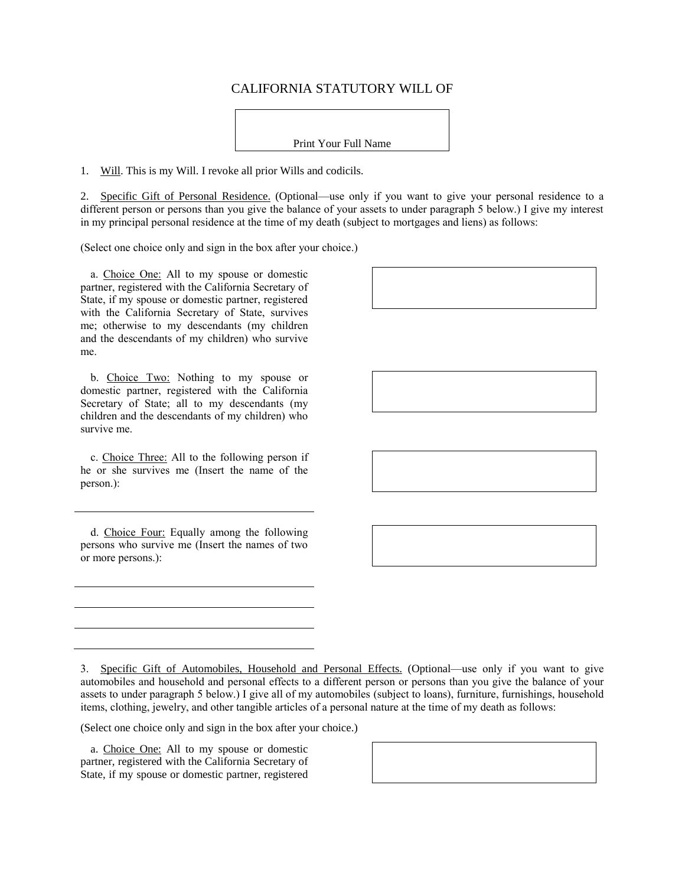## CALIFORNIA STATUTORY WILL OF

Print Your Full Name

1. Will. This is my Will. I revoke all prior Wills and codicils.

2. Specific Gift of Personal Residence. (Optional—use only if you want to give your personal residence to a different person or persons than you give the balance of your assets to under paragraph 5 below.) I give my interest in my principal personal residence at the time of my death (subject to mortgages and liens) as follows:

(Select one choice only and sign in the box after your choice.)

a. Choice One: All to my spouse or domestic partner, registered with the California Secretary of State, if my spouse or domestic partner, registered with the California Secretary of State, survives me; otherwise to my descendants (my children and the descendants of my children) who survive me.

b. Choice Two: Nothing to my spouse or domestic partner, registered with the California Secretary of State; all to my descendants (my children and the descendants of my children) who survive me.

c. Choice Three: All to the following person if he or she survives me (Insert the name of the person.):

d. Choice Four: Equally among the following persons who survive me (Insert the names of two or more persons.):



(Select one choice only and sign in the box after your choice.)

a. Choice One: All to my spouse or domestic partner, registered with the California Secretary of State, if my spouse or domestic partner, registered



<sup>3.</sup> Specific Gift of Automobiles, Household and Personal Effects. (Optional—use only if you want to give automobiles and household and personal effects to a different person or persons than you give the balance of your assets to under paragraph 5 below.) I give all of my automobiles (subject to loans), furniture, furnishings, household items, clothing, jewelry, and other tangible articles of a personal nature at the time of my death as follows: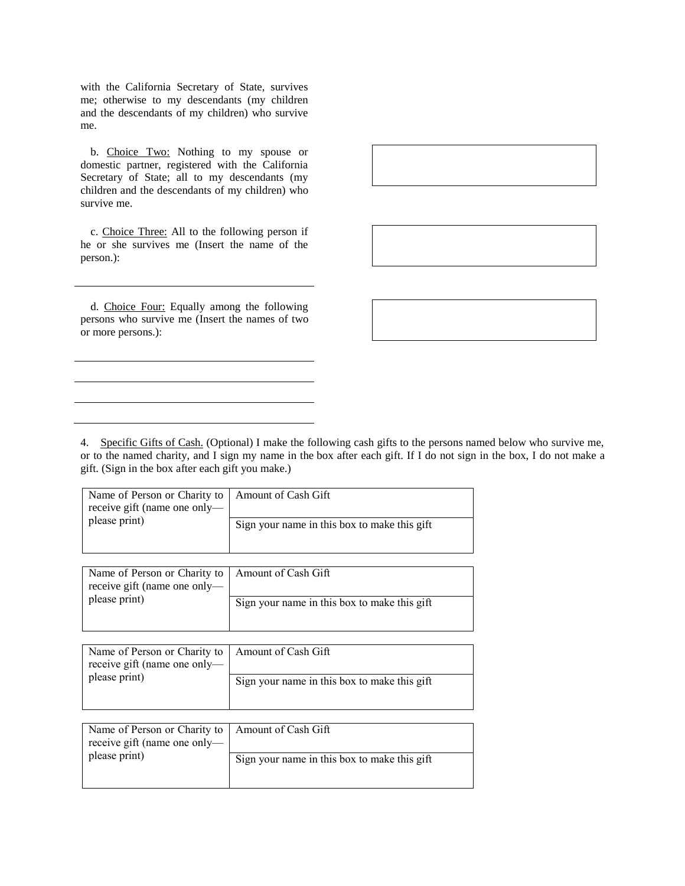with the California Secretary of State, survives me; otherwise to my descendants (my children and the descendants of my children) who survive me.

b. Choice Two: Nothing to my spouse or domestic partner, registered with the California Secretary of State; all to my descendants (my children and the descendants of my children) who survive me.

c. Choice Three: All to the following person if he or she survives me (Insert the name of the person.):

d. Choice Four: Equally among the following persons who survive me (Insert the names of two or more persons.):





4. Specific Gifts of Cash. (Optional) I make the following cash gifts to the persons named below who survive me, or to the named charity, and I sign my name in the box after each gift. If I do not sign in the box, I do not make a gift. (Sign in the box after each gift you make.)

| Name of Person or Charity to   Amount of Cash Gift<br>receive gift (name one only— |                                              |  |
|------------------------------------------------------------------------------------|----------------------------------------------|--|
| please print)                                                                      | Sign your name in this box to make this gift |  |

| Name of Person or Charity to   Amount of Cash Gift |                                              |
|----------------------------------------------------|----------------------------------------------|
| receive gift (name one only-                       |                                              |
| please print)                                      | Sign your name in this box to make this gift |
|                                                    |                                              |

| Name of Person or Charity to   Amount of Cash Gift |                                              |
|----------------------------------------------------|----------------------------------------------|
| receive gift (name one only-                       |                                              |
| please print)                                      | Sign your name in this box to make this gift |
|                                                    |                                              |

| Name of Person or Charity to   Amount of Cash Gift<br>receive gift (name one only- |                                              |  |
|------------------------------------------------------------------------------------|----------------------------------------------|--|
| please print)                                                                      | Sign your name in this box to make this gift |  |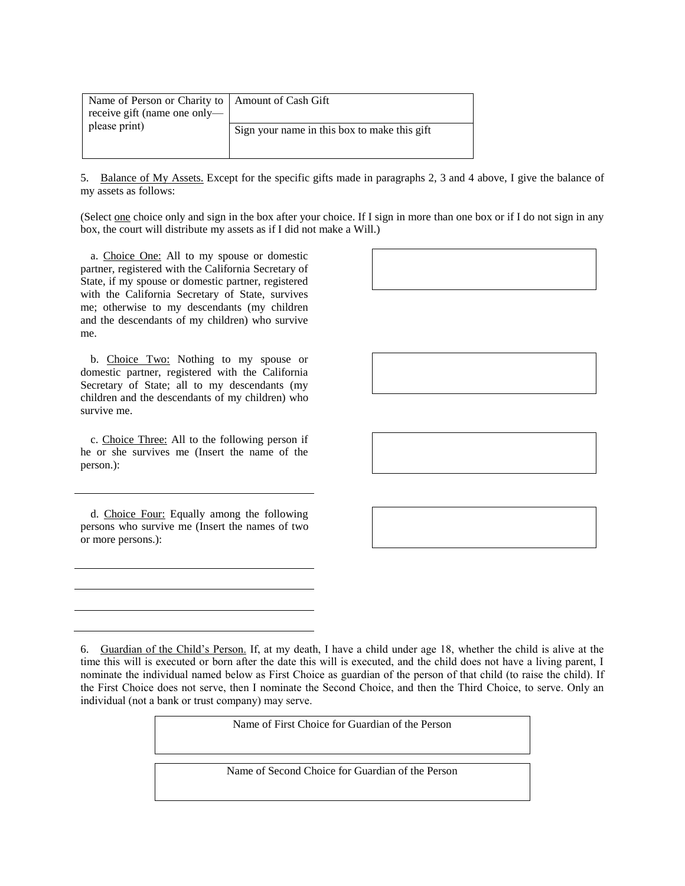| Name of Person or Charity to   Amount of Cash Gift<br>receive gift (name one only— |                                              |
|------------------------------------------------------------------------------------|----------------------------------------------|
| please print)                                                                      | Sign your name in this box to make this gift |

5. Balance of My Assets. Except for the specific gifts made in paragraphs 2, 3 and 4 above, I give the balance of my assets as follows:

(Select one choice only and sign in the box after your choice. If I sign in more than one box or if I do not sign in any box, the court will distribute my assets as if I did not make a Will.)

a. Choice One: All to my spouse or domestic partner, registered with the California Secretary of State, if my spouse or domestic partner, registered with the California Secretary of State, survives me; otherwise to my descendants (my children and the descendants of my children) who survive me.

b. Choice Two: Nothing to my spouse or domestic partner, registered with the California Secretary of State; all to my descendants (my children and the descendants of my children) who survive me.

c. Choice Three: All to the following person if he or she survives me (Insert the name of the person.):

d. Choice Four: Equally among the following persons who survive me (Insert the names of two or more persons.):





Name of First Choice for Guardian of the Person

Name of Second Choice for Guardian of the Person

<sup>6.</sup> Guardian of the Child's Person. If, at my death, I have a child under age 18, whether the child is alive at the time this will is executed or born after the date this will is executed, and the child does not have a living parent, I nominate the individual named below as First Choice as guardian of the person of that child (to raise the child). If the First Choice does not serve, then I nominate the Second Choice, and then the Third Choice, to serve. Only an individual (not a bank or trust company) may serve.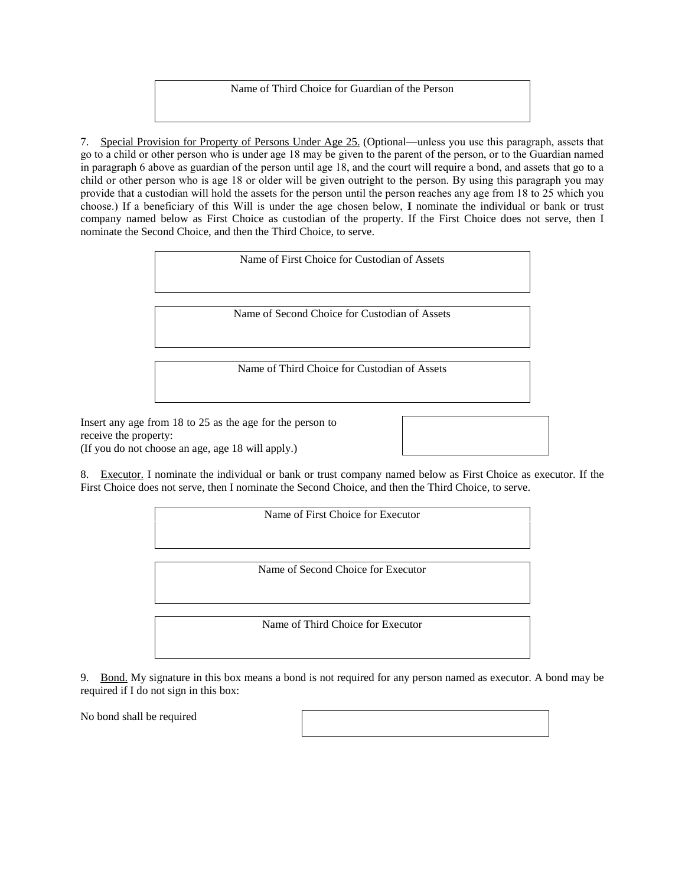## Name of Third Choice for Guardian of the Person

7. Special Provision for Property of Persons Under Age 25. (Optional—unless you use this paragraph, assets that go to a child or other person who is under age 18 may be given to the parent of the person, or to the Guardian named in paragraph 6 above as guardian of the person until age 18, and the court will require a bond, and assets that go to a child or other person who is age 18 or older will be given outright to the person. By using this paragraph you may provide that a custodian will hold the assets for the person until the person reaches any age from 18 to 25 which you choose.) If a beneficiary of this Will is under the age chosen below, **I** nominate the individual or bank or trust company named below as First Choice as custodian of the property. If the First Choice does not serve, then I nominate the Second Choice, and then the Third Choice, to serve.

| Name of First Choice for Custodian of Assets  |  |
|-----------------------------------------------|--|
| Name of Second Choice for Custodian of Assets |  |
|                                               |  |
| Name of Third Choice for Custodian of Assets  |  |
| om 18 to 25 as the age for the person to      |  |

Insert any age from receive the property: (If you do not choose an age, age 18 will apply.)



8. Executor. I nominate the individual or bank or trust company named below as First Choice as executor. If the First Choice does not serve, then I nominate the Second Choice, and then the Third Choice, to serve.

Name of First Choice for Executor

Name of Second Choice for Executor

Name of Third Choice for Executor

9. Bond. My signature in this box means a bond is not required for any person named as executor. A bond may be required if I do not sign in this box:

No bond shall be required